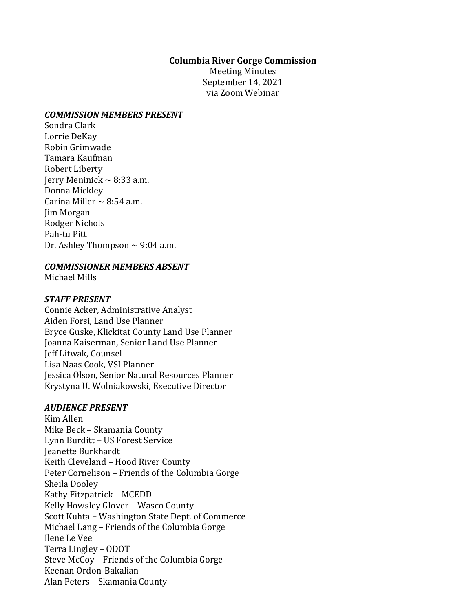### **Columbia River Gorge Commission**

Meeting Minutes September 14, 2021 via Zoom Webinar

### *COMMISSION MEMBERS PRESENT*

Sondra Clark Lorrie DeKay Robin Grimwade Tamara Kaufman Robert Liberty Jerry Meninick  $\sim$  8:33 a.m. Donna Mickley Carina Miller  $\sim$  8:54 a.m. Jim Morgan Rodger Nichols Pah-tu Pitt Dr. Ashley Thompson  $\sim$  9:04 a.m.

## *COMMISSIONER MEMBERS ABSENT*

Michael Mills

## *STAFF PRESENT*

Connie Acker, Administrative Analyst Aiden Forsi, Land Use Planner Bryce Guske, Klickitat County Land Use Planner Joanna Kaiserman, Senior Land Use Planner Jeff Litwak, Counsel Lisa Naas Cook, VSI Planner Jessica Olson, Senior Natural Resources Planner Krystyna U. Wolniakowski, Executive Director

### *AUDIENCE PRESENT*

Kim Allen Mike Beck – Skamania County Lynn Burditt – US Forest Service Jeanette Burkhardt Keith Cleveland – Hood River County Peter Cornelison – Friends of the Columbia Gorge Sheila Dooley Kathy Fitzpatrick – MCEDD Kelly Howsley Glover – Wasco County Scott Kuhta – Washington State Dept. of Commerce Michael Lang – Friends of the Columbia Gorge Ilene Le Vee Terra Lingley – ODOT Steve McCoy – Friends of the Columbia Gorge Keenan Ordon-Bakalian Alan Peters – Skamania County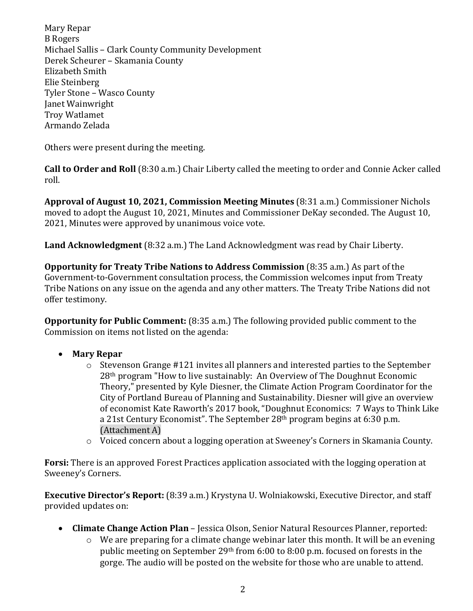Mary Repar B Rogers Michael Sallis – Clark County Community Development Derek Scheurer – Skamania County Elizabeth Smith Elie Steinberg Tyler Stone – Wasco County Janet Wainwright Troy Watlamet Armando Zelada

Others were present during the meeting.

**Call to Order and Roll** (8:30 a.m.) Chair Liberty called the meeting to order and Connie Acker called roll.

**Approval of August 10, 2021, Commission Meeting Minutes** (8:31 a.m.) Commissioner Nichols moved to adopt the August 10, 2021, Minutes and Commissioner DeKay seconded. The August 10, 2021, Minutes were approved by unanimous voice vote.

**Land Acknowledgment** (8:32 a.m.) The Land Acknowledgment was read by Chair Liberty.

**Opportunity for Treaty Tribe Nations to Address Commission** (8:35 a.m.) As part of the Government-to-Government consultation process, the Commission welcomes input from Treaty Tribe Nations on any issue on the agenda and any other matters. The Treaty Tribe Nations did not offer testimony.

**Opportunity for Public Comment:** (8:35 a.m.) The following provided public comment to the Commission on items not listed on the agenda:

- **Mary Repar**
	- o Stevenson Grange #121 invites all planners and interested parties to the September 28th program "How to live sustainably: An Overview of The Doughnut Economic Theory," presented by Kyle Diesner, the Climate Action Program Coordinator for the City of Portland Bureau of Planning and Sustainability. Diesner will give an overview of economist Kate Raworth's 2017 book, "Doughnut Economics: 7 Ways to Think Like a 21st Century Economist". The September 28th program begins at 6:30 p.m. (Attachment A)
	- o Voiced concern about a logging operation at Sweeney's Corners in Skamania County.

**Forsi:** There is an approved Forest Practices application associated with the logging operation at Sweeney's Corners.

**Executive Director's Report:** (8:39 a.m.) Krystyna U. Wolniakowski, Executive Director, and staff provided updates on:

- **Climate Change Action Plan** Jessica Olson, Senior Natural Resources Planner, reported:
	- o We are preparing for a climate change webinar later this month. It will be an evening public meeting on September 29th from 6:00 to 8:00 p.m. focused on forests in the gorge. The audio will be posted on the website for those who are unable to attend.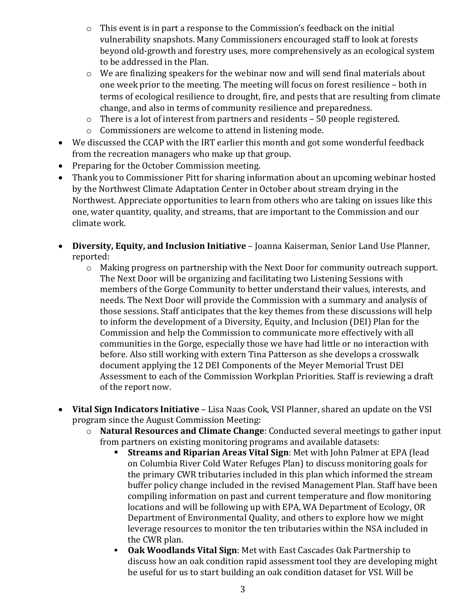- o This event is in part a response to the Commission's feedback on the initial vulnerability snapshots. Many Commissioners encouraged staff to look at forests beyond old-growth and forestry uses, more comprehensively as an ecological system to be addressed in the Plan.
- o We are finalizing speakers for the webinar now and will send final materials about one week prior to the meeting. The meeting will focus on forest resilience – both in terms of ecological resilience to drought, fire, and pests that are resulting from climate change, and also in terms of community resilience and preparedness.
- o There is a lot of interest from partners and residents 50 people registered.
- o Commissioners are welcome to attend in listening mode.
- We discussed the CCAP with the IRT earlier this month and got some wonderful feedback from the recreation managers who make up that group.
- Preparing for the October Commission meeting.
- Thank you to Commissioner Pitt for sharing information about an upcoming webinar hosted by the Northwest Climate Adaptation Center in October about stream drying in the Northwest. Appreciate opportunities to learn from others who are taking on issues like this one, water quantity, quality, and streams, that are important to the Commission and our climate work.
- **Diversity, Equity, and Inclusion Initiative** Joanna Kaiserman, Senior Land Use Planner, reported:
	- o Making progress on partnership with the Next Door for community outreach support. The Next Door will be organizing and facilitating two Listening Sessions with members of the Gorge Community to better understand their values, interests, and needs. The Next Door will provide the Commission with a summary and analysis of those sessions. Staff anticipates that the key themes from these discussions will help to inform the development of a Diversity, Equity, and Inclusion (DEI) Plan for the Commission and help the Commission to communicate more effectively with all communities in the Gorge, especially those we have had little or no interaction with before. Also still working with extern Tina Patterson as she develops a crosswalk document applying the 12 DEI Components of the Meyer Memorial Trust DEI Assessment to each of the Commission Workplan Priorities. Staff is reviewing a draft of the report now.
- **Vital Sign Indicators Initiative** Lisa Naas Cook, VSI Planner, shared an update on the VSI program since the August Commission Meeting:
	- o **Natural Resources and Climate Change**: Conducted several meetings to gather input from partners on existing monitoring programs and available datasets:<br>**Streams and Riparian Areas Vital Sign**: Met with John Palmer a
		- **Streams and Riparian Areas Vital Sign**: Met with John Palmer at EPA (lead on Columbia River Cold Water Refuges Plan) to discuss monitoring goals for the primary CWR tributaries included in this plan which informed the stream buffer policy change included in the revised Management Plan. Staff have been compiling information on past and current temperature and flow monitoring locations and will be following up with EPA, WA Department of Ecology, OR Department of Environmental Quality, and others to explore how we might leverage resources to monitor the ten tributaries within the NSA included in the CWR plan.
		- **Oak Woodlands Vital Sign**: Met with East Cascades Oak Partnership to discuss how an oak condition rapid assessment tool they are developing might be useful for us to start building an oak condition dataset for VSI. Will be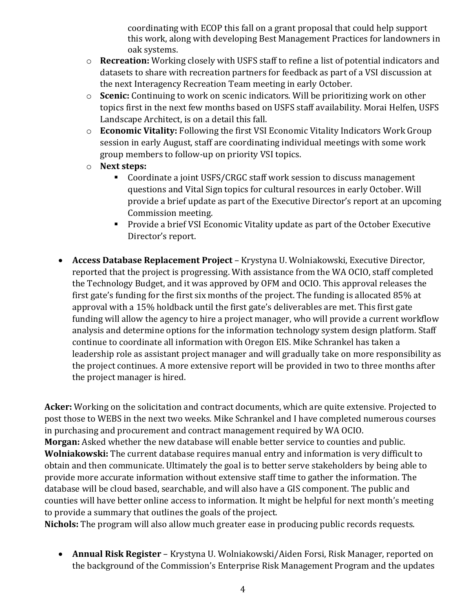coordinating with ECOP this fall on a grant proposal that could help support this work, along with developing Best Management Practices for landowners in oak systems.

- o **Recreation:** Working closely with USFS staff to refine a list of potential indicators and datasets to share with recreation partners for feedback as part of a VSI discussion at the next Interagency Recreation Team meeting in early October.
- o **Scenic:** Continuing to work on scenic indicators. Will be prioritizing work on other topics first in the next few months based on USFS staff availability. Morai Helfen, USFS Landscape Architect, is on a detail this fall.
- o **Economic Vitality:** Following the first VSI Economic Vitality Indicators Work Group session in early August, staff are coordinating individual meetings with some work group members to follow-up on priority VSI topics.
- o **Next steps:**
	- Coordinate a joint USFS/CRGC staff work session to discuss management questions and Vital Sign topics for cultural resources in early October. Will provide a brief update as part of the Executive Director's report at an upcoming Commission meeting.
	- **Provide a brief VSI Economic Vitality update as part of the October Executive** Director's report.
- **Access Database Replacement Project** Krystyna U. Wolniakowski, Executive Director, reported that the project is progressing. With assistance from the WA OCIO, staff completed the Technology Budget, and it was approved by OFM and OCIO. This approval releases the first gate's funding for the first six months of the project. The funding is allocated 85% at approval with a 15% holdback until the first gate's deliverables are met. This first gate funding will allow the agency to hire a project manager, who will provide a current workflow analysis and determine options for the information technology system design platform. Staff continue to coordinate all information with Oregon EIS. Mike Schrankel has taken a leadership role as assistant project manager and will gradually take on more responsibility as the project continues. A more extensive report will be provided in two to three months after the project manager is hired.

**Acker:** Working on the solicitation and contract documents, which are quite extensive. Projected to post those to WEBS in the next two weeks. Mike Schrankel and I have completed numerous courses in purchasing and procurement and contract management required by WA OCIO. **Morgan:** Asked whether the new database will enable better service to counties and public. **Wolniakowski:** The current database requires manual entry and information is very difficult to obtain and then communicate. Ultimately the goal is to better serve stakeholders by being able to provide more accurate information without extensive staff time to gather the information. The database will be cloud based, searchable, and will also have a GIS component. The public and counties will have better online access to information. It might be helpful for next month's meeting to provide a summary that outlines the goals of the project.

**Nichols:** The program will also allow much greater ease in producing public records requests.

• **Annual Risk Register** – Krystyna U. Wolniakowski/Aiden Forsi, Risk Manager, reported on the background of the Commission's Enterprise Risk Management Program and the updates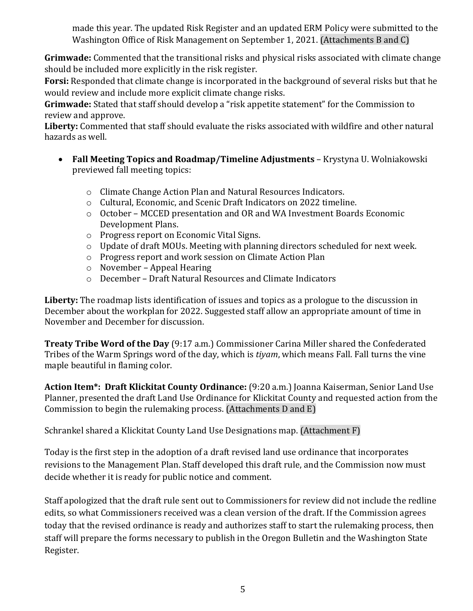made this year. The updated Risk Register and an updated ERM Policy were submitted to the Washington Office of Risk Management on September 1, 2021. (Attachments B and C)

**Grimwade:** Commented that the transitional risks and physical risks associated with climate change should be included more explicitly in the risk register.

**Forsi:** Responded that climate change is incorporated in the background of several risks but that he would review and include more explicit climate change risks.

**Grimwade:** Stated that staff should develop a "risk appetite statement" for the Commission to review and approve.

**Liberty:** Commented that staff should evaluate the risks associated with wildfire and other natural hazards as well.

- **Fall Meeting Topics and Roadmap/Timeline Adjustments** Krystyna U. Wolniakowski previewed fall meeting topics:
	- o Climate Change Action Plan and Natural Resources Indicators.
	- o Cultural, Economic, and Scenic Draft Indicators on 2022 timeline.
	- o October MCCED presentation and OR and WA Investment Boards Economic Development Plans.
	- o Progress report on Economic Vital Signs.
	- o Update of draft MOUs. Meeting with planning directors scheduled for next week.
	- o Progress report and work session on Climate Action Plan
	- o November Appeal Hearing
	- o December Draft Natural Resources and Climate Indicators

**Liberty:** The roadmap lists identification of issues and topics as a prologue to the discussion in December about the workplan for 2022. Suggested staff allow an appropriate amount of time in November and December for discussion.

**Treaty Tribe Word of the Day** (9:17 a.m.) Commissioner Carina Miller shared the Confederated Tribes of the Warm Springs word of the day, which is *tiyam*, which means Fall. Fall turns the vine maple beautiful in flaming color.

**Action Item\*: Draft Klickitat County Ordinance:** (9:20 a.m.) Joanna Kaiserman, Senior Land Use Planner, presented the draft Land Use Ordinance for Klickitat County and requested action from the Commission to begin the rulemaking process. (Attachments D and E)

Schrankel shared a Klickitat County Land Use Designations map. (Attachment F)

Today is the first step in the adoption of a draft revised land use ordinance that incorporates revisions to the Management Plan. Staff developed this draft rule, and the Commission now must decide whether it is ready for public notice and comment.

Staff apologized that the draft rule sent out to Commissioners for review did not include the redline edits, so what Commissioners received was a clean version of the draft. If the Commission agrees today that the revised ordinance is ready and authorizes staff to start the rulemaking process, then staff will prepare the forms necessary to publish in the Oregon Bulletin and the Washington State Register.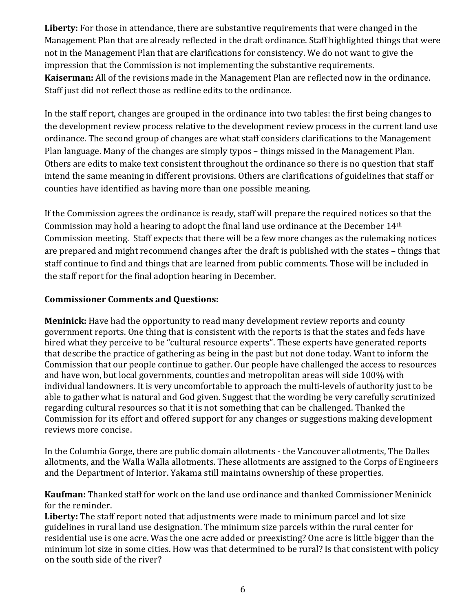**Liberty:** For those in attendance, there are substantive requirements that were changed in the Management Plan that are already reflected in the draft ordinance. Staff highlighted things that were not in the Management Plan that are clarifications for consistency. We do not want to give the impression that the Commission is not implementing the substantive requirements. **Kaiserman:** All of the revisions made in the Management Plan are reflected now in the ordinance. Staff just did not reflect those as redline edits to the ordinance.

In the staff report, changes are grouped in the ordinance into two tables: the first being changes to the development review process relative to the development review process in the current land use ordinance. The second group of changes are what staff considers clarifications to the Management Plan language. Many of the changes are simply typos – things missed in the Management Plan. Others are edits to make text consistent throughout the ordinance so there is no question that staff intend the same meaning in different provisions. Others are clarifications of guidelines that staff or counties have identified as having more than one possible meaning.

If the Commission agrees the ordinance is ready, staff will prepare the required notices so that the Commission may hold a hearing to adopt the final land use ordinance at the December 14th Commission meeting. Staff expects that there will be a few more changes as the rulemaking notices are prepared and might recommend changes after the draft is published with the states – things that staff continue to find and things that are learned from public comments. Those will be included in the staff report for the final adoption hearing in December.

# **Commissioner Comments and Questions:**

**Meninick:** Have had the opportunity to read many development review reports and county government reports. One thing that is consistent with the reports is that the states and feds have hired what they perceive to be "cultural resource experts". These experts have generated reports that describe the practice of gathering as being in the past but not done today. Want to inform the Commission that our people continue to gather. Our people have challenged the access to resources and have won, but local governments, counties and metropolitan areas will side 100% with individual landowners. It is very uncomfortable to approach the multi-levels of authority just to be able to gather what is natural and God given. Suggest that the wording be very carefully scrutinized regarding cultural resources so that it is not something that can be challenged. Thanked the Commission for its effort and offered support for any changes or suggestions making development reviews more concise.

In the Columbia Gorge, there are public domain allotments - the Vancouver allotments, The Dalles allotments, and the Walla Walla allotments. These allotments are assigned to the Corps of Engineers and the Department of Interior. Yakama still maintains ownership of these properties.

**Kaufman:** Thanked staff for work on the land use ordinance and thanked Commissioner Meninick for the reminder.

**Liberty:** The staff report noted that adjustments were made to minimum parcel and lot size guidelines in rural land use designation. The minimum size parcels within the rural center for residential use is one acre. Was the one acre added or preexisting? One acre is little bigger than the minimum lot size in some cities. How was that determined to be rural? Is that consistent with policy on the south side of the river?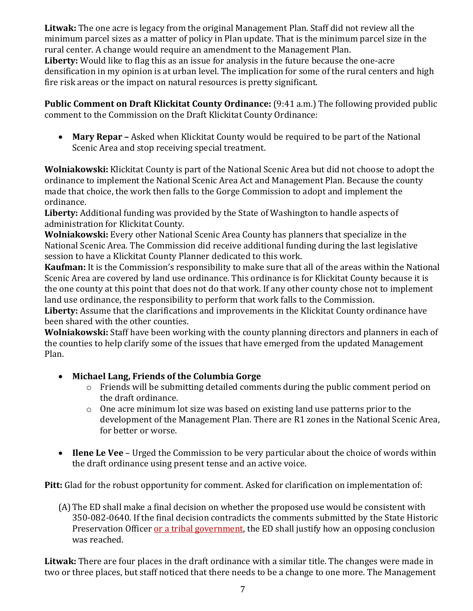**Litwak:** The one acre is legacy from the original Management Plan. Staff did not review all the minimum parcel sizes as a matter of policy in Plan update. That is the minimum parcel size in the rural center. A change would require an amendment to the Management Plan. **Liberty:** Would like to flag this as an issue for analysis in the future because the one-acre densification in my opinion is at urban level. The implication for some of the rural centers and high fire risk areas or the impact on natural resources is pretty significant.

**Public Comment on Draft Klickitat County Ordinance:** (9:41 a.m.) The following provided public comment to the Commission on the Draft Klickitat County Ordinance:

• **Mary Repar –** Asked when Klickitat County would be required to be part of the National Scenic Area and stop receiving special treatment.

**Wolniakowski:** Klickitat County is part of the National Scenic Area but did not choose to adopt the ordinance to implement the National Scenic Area Act and Management Plan. Because the county made that choice, the work then falls to the Gorge Commission to adopt and implement the ordinance.

**Liberty:** Additional funding was provided by the State of Washington to handle aspects of administration for Klickitat County.

**Wolniakowski:** Every other National Scenic Area County has planners that specialize in the National Scenic Area. The Commission did receive additional funding during the last legislative session to have a Klickitat County Planner dedicated to this work.

**Kaufman:** It is the Commission's responsibility to make sure that all of the areas within the National Scenic Area are covered by land use ordinance. This ordinance is for Klickitat County because it is the one county at this point that does not do that work. If any other county chose not to implement land use ordinance, the responsibility to perform that work falls to the Commission.

**Liberty:** Assume that the clarifications and improvements in the Klickitat County ordinance have been shared with the other counties.

**Wolniakowski:** Staff have been working with the county planning directors and planners in each of the counties to help clarify some of the issues that have emerged from the updated Management Plan.

- **Michael Lang, Friends of the Columbia Gorge**
	- o Friends will be submitting detailed comments during the public comment period on the draft ordinance.
	- o One acre minimum lot size was based on existing land use patterns prior to the development of the Management Plan. There are R1 zones in the National Scenic Area, for better or worse.
- **Ilene Le Vee** Urged the Commission to be very particular about the choice of words within the draft ordinance using present tense and an active voice.

**Pitt:** Glad for the robust opportunity for comment. Asked for clarification on implementation of:

(A)The ED shall make a final decision on whether the proposed use would be consistent with 350-082-0640. If the final decision contradicts the comments submitted by the State Historic Preservation Officer or a tribal government, the ED shall justify how an opposing conclusion was reached.

**Litwak:** There are four places in the draft ordinance with a similar title. The changes were made in two or three places, but staff noticed that there needs to be a change to one more. The Management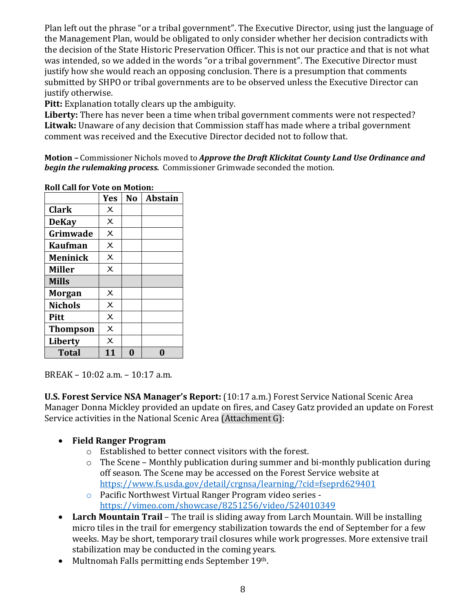Plan left out the phrase "or a tribal government". The Executive Director, using just the language of the Management Plan, would be obligated to only consider whether her decision contradicts with the decision of the State Historic Preservation Officer. This is not our practice and that is not what was intended, so we added in the words "or a tribal government". The Executive Director must justify how she would reach an opposing conclusion. There is a presumption that comments submitted by SHPO or tribal governments are to be observed unless the Executive Director can justify otherwise.

**Pitt:** Explanation totally clears up the ambiguity.

**Liberty:** There has never been a time when tribal government comments were not respected? **Litwak:** Unaware of any decision that Commission staff has made where a tribal government comment was received and the Executive Director decided not to follow that.

**Motion –** Commissioner Nichols moved to *Approve the Draft Klickitat County Land Use Ordinance and begin the rulemaking process.* Commissioner Grimwade seconded the motion.

|                 | <b>Yes</b>              | N <sub>o</sub> | <b>Abstain</b> |
|-----------------|-------------------------|----------------|----------------|
| <b>Clark</b>    | $\times$                |                |                |
| <b>DeKay</b>    | $\times$                |                |                |
| Grimwade        | $\times$                |                |                |
| <b>Kaufman</b>  | $\times$                |                |                |
| <b>Meninick</b> | $\times$                |                |                |
| <b>Miller</b>   | $\overline{\mathsf{x}}$ |                |                |
| <b>Mills</b>    |                         |                |                |
| <b>Morgan</b>   | $\times$                |                |                |
| <b>Nichols</b>  | $\overline{\chi}$       |                |                |
| <b>Pitt</b>     | $\times$                |                |                |
| <b>Thompson</b> | $\times$                |                |                |
| <b>Liberty</b>  | $\times$                |                |                |
| <b>Total</b>    | 11                      |                |                |

**Roll Call for Vote on Motion:**

BREAK – 10:02 a.m. – 10:17 a.m.

**U.S. Forest Service NSA Manager's Report:** (10:17 a.m.) Forest Service National Scenic Area Manager Donna Mickley provided an update on fires, and Casey Gatz provided an update on Forest Service activities in the National Scenic Area (Attachment G):

# • **Field Ranger Program**

- o Established to better connect visitors with the forest.
- $\circ$  The Scene Monthly publication during summer and bi-monthly publication during off season. The Scene may be accessed on the Forest Service website at <https://www.fs.usda.gov/detail/crgnsa/learning/?cid=fseprd629401>
- o Pacific Northwest Virtual Ranger Program video series <https://vimeo.com/showcase/8251256/video/524010349>
- **Larch Mountain Trail** The trail is sliding away from Larch Mountain. Will be installing micro tiles in the trail for emergency stabilization towards the end of September for a few weeks. May be short, temporary trail closures while work progresses. More extensive trail stabilization may be conducted in the coming years.
- Multnomah Falls permitting ends September 19th.